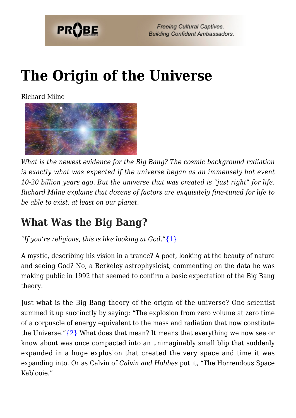

# **[The Origin of the Universe](https://probe.org/the-origin-of-the-universe/)**

Richard Milne



*What is the newest evidence for the Big Bang? The cosmic background radiation is exactly what was expected if the universe began as an immensely hot event 10-20 billion years ago. But the universe that was created is "just right" for life. Richard Milne explains that dozens of factors are exquisitely fine-tuned for life to be able to exist, at least on our planet.*

#### **What Was the Big Bang?**

*"If you're religious, this is like looking at God."*[{1}](#page-8-0)

A mystic, describing his vision in a trance? A poet, looking at the beauty of nature and seeing God? No, a Berkeley astrophysicist, commenting on the data he was making public in 1992 that seemed to confirm a basic expectation of the Big Bang theory.

Just what is the Big Bang theory of the origin of the universe? One scientist summed it up succinctly by saying: "The explosion from zero volume at zero time of a corpuscle of energy equivalent to the mass and radiation that now constitute the Universe." $\{2\}$  What does that mean? It means that everything we now see or know about was once compacted into an unimaginably small blip that suddenly expanded in a huge explosion that created the very space and time it was expanding into. Or as Calvin of *Calvin and Hobbes* put it, "The Horrendous Space Kablooie."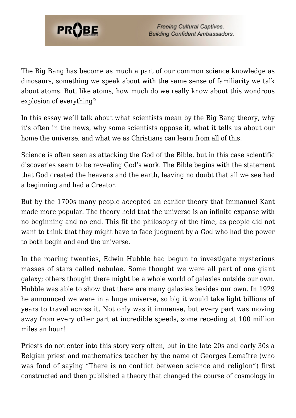

The Big Bang has become as much a part of our common science knowledge as dinosaurs, something we speak about with the same sense of familiarity we talk about atoms. But, like atoms, how much do we really know about this wondrous explosion of everything?

In this essay we'll talk about what scientists mean by the Big Bang theory, why it's often in the news, why some scientists oppose it, what it tells us about our home the universe, and what we as Christians can learn from all of this.

Science is often seen as attacking the God of the Bible, but in this case scientific discoveries seem to be revealing God's work. The Bible begins with the statement that God created the heavens and the earth, leaving no doubt that all we see had a beginning and had a Creator.

But by the 1700s many people accepted an earlier theory that Immanuel Kant made more popular. The theory held that the universe is an infinite expanse with no beginning and no end. This fit the philosophy of the time, as people did not want to think that they might have to face judgment by a God who had the power to both begin and end the universe.

In the roaring twenties, Edwin Hubble had begun to investigate mysterious masses of stars called nebulae. Some thought we were all part of one giant galaxy; others thought there might be a whole world of galaxies outside our own. Hubble was able to show that there are many galaxies besides our own. In 1929 he announced we were in a huge universe, so big it would take light billions of years to travel across it. Not only was it immense, but every part was moving away from every other part at incredible speeds, some receding at 100 million miles an hour!

Priests do not enter into this story very often, but in the late 20s and early 30s a Belgian priest and mathematics teacher by the name of Georges Lemaître (who was fond of saying "There is no conflict between science and religion") first constructed and then published a theory that changed the course of cosmology in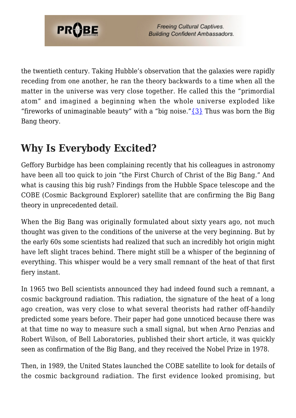

the twentieth century. Taking Hubble's observation that the galaxies were rapidly receding from one another, he ran the theory backwards to a time when all the matter in the universe was very close together. He called this the "primordial atom" and imagined a beginning when the whole universe exploded like "fireworks of unimaginable beauty" with a "big noise." $\{3\}$  Thus was born the Big Bang theory.

### **Why Is Everybody Excited?**

Geffory Burbidge has been complaining recently that his colleagues in astronomy have been all too quick to join "the First Church of Christ of the Big Bang." And what is causing this big rush? Findings from the Hubble Space telescope and the COBE (Cosmic Background Explorer) satellite that are confirming the Big Bang theory in unprecedented detail.

When the Big Bang was originally formulated about sixty years ago, not much thought was given to the conditions of the universe at the very beginning. But by the early 60s some scientists had realized that such an incredibly hot origin might have left slight traces behind. There might still be a whisper of the beginning of everything. This whisper would be a very small remnant of the heat of that first fiery instant.

In 1965 two Bell scientists announced they had indeed found such a remnant, a cosmic background radiation. This radiation, the signature of the heat of a long ago creation, was very close to what several theorists had rather off-handily predicted some years before. Their paper had gone unnoticed because there was at that time no way to measure such a small signal, but when Arno Penzias and Robert Wilson, of Bell Laboratories, published their short article, it was quickly seen as confirmation of the Big Bang, and they received the Nobel Prize in 1978.

Then, in 1989, the United States launched the COBE satellite to look for details of the cosmic background radiation. The first evidence looked promising, but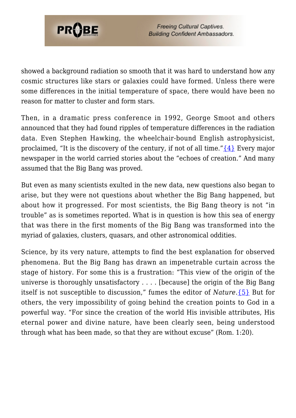

showed a background radiation so smooth that it was hard to understand how any cosmic structures like stars or galaxies could have formed. Unless there were some differences in the initial temperature of space, there would have been no reason for matter to cluster and form stars.

Then, in a dramatic press conference in 1992, George Smoot and others announced that they had found ripples of temperature differences in the radiation data. Even Stephen Hawking, the wheelchair-bound English astrophysicist, proclaimed, "It is the discovery of the century, if not of all time." $\{4\}$  Every major newspaper in the world carried stories about the "echoes of creation." And many assumed that the Big Bang was proved.

But even as many scientists exulted in the new data, new questions also began to arise, but they were not questions about whether the Big Bang happened, but about how it progressed. For most scientists, the Big Bang theory is not "in trouble" as is sometimes reported. What is in question is how this sea of energy that was there in the first moments of the Big Bang was transformed into the myriad of galaxies, clusters, quasars, and other astronomical oddities.

Science, by its very nature, attempts to find the best explanation for observed phenomena. But the Big Bang has drawn an impenetrable curtain across the stage of history. For some this is a frustration: "This view of the origin of the universe is thoroughly unsatisfactory . . . . [because] the origin of the Big Bang itself is not susceptible to discussion," fumes the editor of *Nature*.[{5}](#page-8-4) But for others, the very impossibility of going behind the creation points to God in a powerful way. "For since the creation of the world His invisible attributes, His eternal power and divine nature, have been clearly seen, being understood through what has been made, so that they are without excuse" (Rom. 1:20).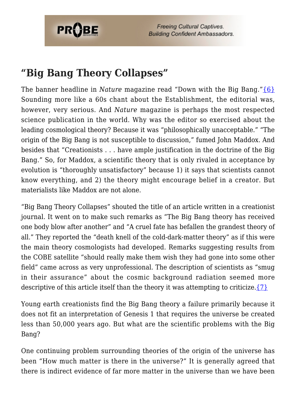

**Freeing Cultural Captives. Building Confident Ambassadors.** 

#### **"Big Bang Theory Collapses"**

The banner headline in *Nature* magazine read "Down with the Big Bang." [{6}](#page-8-5) Sounding more like a 60s chant about the Establishment, the editorial was, however, very serious. And *Nature* magazine is perhaps the most respected science publication in the world. Why was the editor so exercised about the leading cosmological theory? Because it was "philosophically unacceptable." "The origin of the Big Bang is not susceptible to discussion," fumed John Maddox. And besides that "Creationists . . . have ample justification in the doctrine of the Big Bang." So, for Maddox, a scientific theory that is only rivaled in acceptance by evolution is "thoroughly unsatisfactory" because 1) it says that scientists cannot know everything, and 2) the theory might encourage belief in a creator. But materialists like Maddox are not alone.

"Big Bang Theory Collapses" shouted the title of an article written in a creationist journal. It went on to make such remarks as "The Big Bang theory has received one body blow after another" and "A cruel fate has befallen the grandest theory of all." They reported the "death knell of the cold-dark-matter theory" as if this were the main theory cosmologists had developed. Remarks suggesting results from the COBE satellite "should really make them wish they had gone into some other field" came across as very unprofessional. The description of scientists as "smug in their assurance" about the cosmic background radiation seemed more descriptive of this article itself than the theory it was attempting to criticize.  $\{7\}$ 

Young earth creationists find the Big Bang theory a failure primarily because it does not fit an interpretation of Genesis 1 that requires the universe be created less than 50,000 years ago. But what are the scientific problems with the Big Bang?

One continuing problem surrounding theories of the origin of the universe has been "How much matter is there in the universe?" It is generally agreed that there is indirect evidence of far more matter in the universe than we have been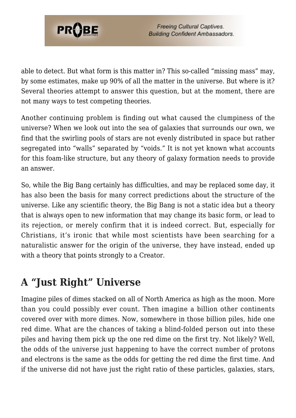

able to detect. But what form is this matter in? This so-called "missing mass" may, by some estimates, make up 90% of all the matter in the universe. But where is it? Several theories attempt to answer this question, but at the moment, there are not many ways to test competing theories.

Another continuing problem is finding out what caused the clumpiness of the universe? When we look out into the sea of galaxies that surrounds our own, we find that the swirling pools of stars are not evenly distributed in space but rather segregated into "walls" separated by "voids." It is not yet known what accounts for this foam-like structure, but any theory of galaxy formation needs to provide an answer.

So, while the Big Bang certainly has difficulties, and may be replaced some day, it has also been the basis for many correct predictions about the structure of the universe. Like any scientific theory, the Big Bang is not a static idea but a theory that is always open to new information that may change its basic form, or lead to its rejection, or merely confirm that it is indeed correct. But, especially for Christians, it's ironic that while most scientists have been searching for a naturalistic answer for the origin of the universe, they have instead, ended up with a theory that points strongly to a Creator.

## **A "Just Right" Universe**

Imagine piles of dimes stacked on all of North America as high as the moon. More than you could possibly ever count. Then imagine a billion other continents covered over with more dimes. Now, somewhere in those billion piles, hide one red dime. What are the chances of taking a blind-folded person out into these piles and having them pick up the one red dime on the first try. Not likely? Well, the odds of the universe just happening to have the correct number of protons and electrons is the same as the odds for getting the red dime the first time. And if the universe did not have just the right ratio of these particles, galaxies, stars,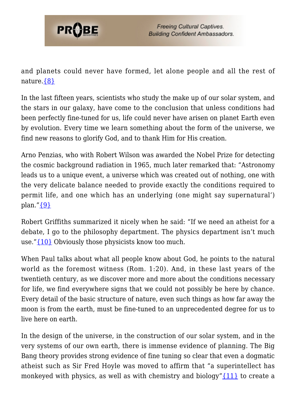

and planets could never have formed, let alone people and all the rest of nature[.{8}](#page-9-0)

In the last fifteen years, scientists who study the make up of our solar system, and the stars in our galaxy, have come to the conclusion that unless conditions had been perfectly fine-tuned for us, life could never have arisen on planet Earth even by evolution. Every time we learn something about the form of the universe, we find new reasons to glorify God, and to thank Him for His creation.

Arno Penzias, who with Robert Wilson was awarded the Nobel Prize for detecting the cosmic background radiation in 1965, much later remarked that: "Astronomy leads us to a unique event, a universe which was created out of nothing, one with the very delicate balance needed to provide exactly the conditions required to permit life, and one which has an underlying (one might say supernatural') plan.["{9}](#page-9-1)

Robert Griffiths summarized it nicely when he said: "If we need an atheist for a debate, I go to the philosophy department. The physics department isn't much use."[{10}](#page-9-2) Obviously those physicists know too much.

When Paul talks about what all people know about God, he points to the natural world as the foremost witness (Rom. 1:20). And, in these last years of the twentieth century, as we discover more and more about the conditions necessary for life, we find everywhere signs that we could not possibly be here by chance. Every detail of the basic structure of nature, even such things as how far away the moon is from the earth, must be fine-tuned to an unprecedented degree for us to live here on earth.

In the design of the universe, in the construction of our solar system, and in the very systems of our own earth, there is immense evidence of planning. The Big Bang theory provides strong evidence of fine tuning so clear that even a dogmatic atheist such as Sir Fred Hoyle was moved to affirm that "a superintellect has monkeyed with physics, as well as with chemistry and biology" $\{11\}$  to create a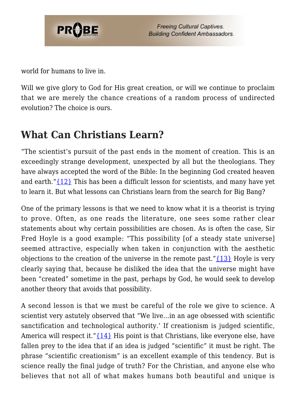

world for humans to live in.

Will we give glory to God for His great creation, or will we continue to proclaim that we are merely the chance creations of a random process of undirected evolution? The choice is ours.

#### **What Can Christians Learn?**

"The scientist's pursuit of the past ends in the moment of creation. This is an exceedingly strange development, unexpected by all but the theologians. They have always accepted the word of the Bible: In the beginning God created heaven and earth." $\{12\}$  This has been a difficult lesson for scientists, and many have yet to learn it. But what lessons can Christians learn from the search for Big Bang?

One of the primary lessons is that we need to know what it is a theorist is trying to prove. Often, as one reads the literature, one sees some rather clear statements about why certain possibilities are chosen. As is often the case, Sir Fred Hoyle is a good example: "This possibility [of a steady state universe] seemed attractive, especially when taken in conjunction with the aesthetic objections to the creation of the universe in the remote past." $\{13\}$  Hoyle is very clearly saying that, because he disliked the idea that the universe might have been "created" sometime in the past, perhaps by God, he would seek to develop another theory that avoids that possibility.

A second lesson is that we must be careful of the role we give to science. A scientist very astutely observed that "We live…in an age obsessed with scientific sanctification and technological authority.' If creationism is judged scientific, America will respect it." ${14}$  His point is that Christians, like everyone else, have fallen prey to the idea that if an idea is judged "scientific" it must be right. The phrase "scientific creationism" is an excellent example of this tendency. But is science really the final judge of truth? For the Christian, and anyone else who believes that not all of what makes humans both beautiful and unique is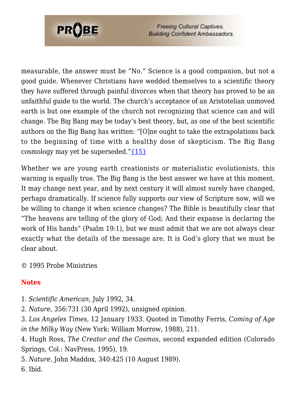

**Freeing Cultural Captives. Building Confident Ambassadors.** 

measurable, the answer must be "No." Science is a good companion, but not a good guide. Whenever Christians have wedded themselves to a scientific theory they have suffered through painful divorces when that theory has proved to be an unfaithful guide to the world. The church's acceptance of an Aristotelian unmoved earth is but one example of the church not recognizing that science can and will change. The Big Bang may be today's best theory, but, as one of the best scientific authors on the Big Bang has written: "[O]ne ought to take the extrapolations back to the beginning of time with a healthy dose of skepticism. The Big Bang cosmology may yet be superseded." $\{15\}$ 

Whether we are young earth creationists or materialistic evolutionists, this warning is equally true. The Big Bang is the best answer we have at this moment. It may change next year, and by next century it will almost surely have changed, perhaps dramatically. If science fully supports our view of Scripture now, will we be willing to change it when science changes? The Bible is beautifully clear that "The heavens are telling of the glory of God; And their expanse is declaring the work of His hands" (Psalm 19:1), but we must admit that we are not always clear exactly what the details of the message are. It is God's glory that we must be clear about.

© 1995 Probe Ministries

#### **Notes**

- <span id="page-8-0"></span>1. *Scientific American*, July 1992, 34.
- <span id="page-8-1"></span>2. *Nature*, 356:731 (30 April 1992), unsigned opinion.
- <span id="page-8-2"></span>3. *Los Angeles Times*, 12 January 1933. Quoted in Timothy Ferris, *Coming of Age in the Milky Way* (New York: William Morrow, 1988), 211.

<span id="page-8-3"></span>4. Hugh Ross, *The Creator and the Cosmos*, second expanded edition (Colorado Springs, Col.: NavPress, 1995), 19.

<span id="page-8-4"></span>5. *Nature*, John Maddox, 340:425 (10 August 1989).

<span id="page-8-6"></span><span id="page-8-5"></span>6. Ibid.